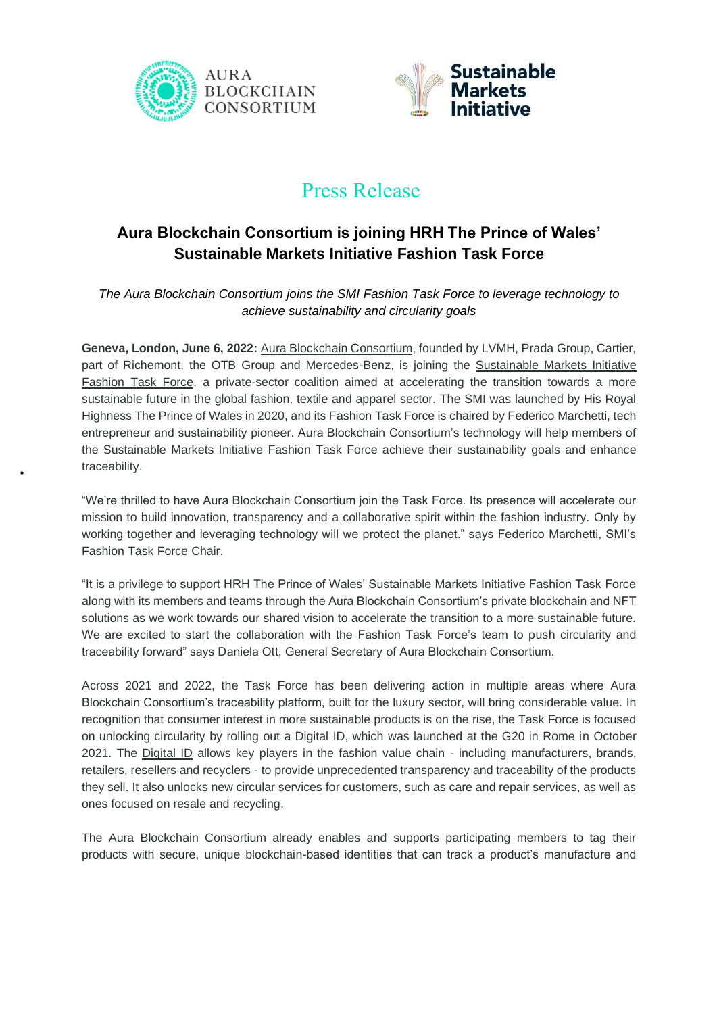



# Press Release

## **Aura Blockchain Consortium is joining HRH The Prince of Wales' Sustainable Markets Initiative Fashion Task Force**

*The Aura Blockchain Consortium joins the SMI Fashion Task Force to leverage technology to achieve sustainability and circularity goals*

Geneva, London, June 6, 2022: [Aura Blockchain Consortium,](https://auraluxuryblockchain.com/) founded by LVMH, Prada Group, Cartier, part of Richemont, the OTB Group and Mercedes-Benz, is joining the Sustainable Markets Initiative [Fashion Task Force,](https://www.sustainable-markets.org/taskforces/fashion-taskforce/) a private-sector coalition aimed at accelerating the transition towards a more sustainable future in the global fashion, textile and apparel sector. The SMI was launched by His Royal Highness The Prince of Wales in 2020, and its Fashion Task Force is chaired by Federico Marchetti, tech entrepreneur and sustainability pioneer. Aura Blockchain Consortium's technology will help members of the Sustainable Markets Initiative Fashion Task Force achieve their sustainability goals and enhance traceability.

"We're thrilled to have Aura Blockchain Consortium join the Task Force. Its presence will accelerate our mission to build innovation, transparency and a collaborative spirit within the fashion industry. Only by working together and leveraging technology will we protect the planet." says Federico Marchetti, SMI's Fashion Task Force Chair.

"It is a privilege to support HRH The Prince of Wales' Sustainable Markets Initiative Fashion Task Force along with its members and teams through the Aura Blockchain Consortium's private blockchain and NFT solutions as we work towards our shared vision to accelerate the transition to a more sustainable future. We are excited to start the collaboration with the Fashion Task Force's team to push circularity and traceability forward" says Daniela Ott, General Secretary of Aura Blockchain Consortium.

Across 2021 and 2022, the Task Force has been delivering action in multiple areas where Aura Blockchain Consortium's traceability platform, built for the luxury sector, will bring considerable value. In recognition that consumer interest in more sustainable products is on the rise, the Task Force is focused on unlocking circularity by rolling out a Digital ID, which was launched at the G20 in Rome in October 2021. The [Digital ID](https://www.sustainable-markets.org/news/hrh-the-prince-of-wales-smi-fashion-taskforce-launches-groundbreaking-digital-id-with-sustainability-protocols-at-g20-in-rome/) allows key players in the fashion value chain - including manufacturers, brands, retailers, resellers and recyclers - to provide unprecedented transparency and traceability of the products they sell. It also unlocks new circular services for customers, such as care and repair services, as well as ones focused on resale and recycling.

The Aura Blockchain Consortium already enables and supports participating members to tag their products with secure, unique blockchain-based identities that can track a product's manufacture and